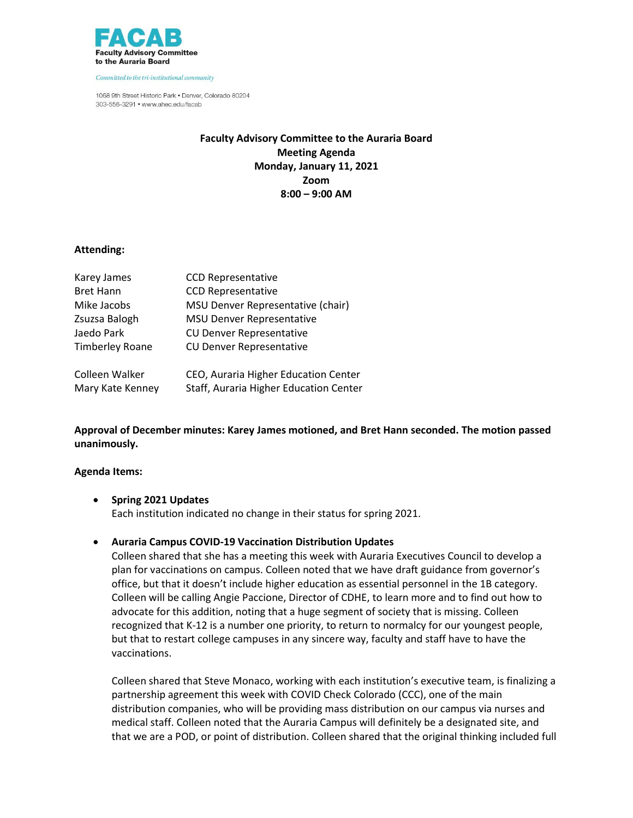

Committed to the tri-institutional community

1068 9th Street Historic Park . Denver, Colorado 80204 303-556-3291 • www.ahec.edu/facab

# **Faculty Advisory Committee to the Auraria Board Meeting Agenda Monday, January 11, 2021 Zoom 8:00 – 9:00 AM**

### **Attending:**

| Karey James            | <b>CCD Representative</b>              |
|------------------------|----------------------------------------|
| <b>Bret Hann</b>       | <b>CCD Representative</b>              |
| Mike Jacobs            | MSU Denver Representative (chair)      |
| Zsuzsa Balogh          | <b>MSU Denver Representative</b>       |
| Jaedo Park             | <b>CU Denver Representative</b>        |
| <b>Timberley Roane</b> | <b>CU Denver Representative</b>        |
| Colleen Walker         | CEO, Auraria Higher Education Center   |
| Mary Kate Kenney       | Staff, Auraria Higher Education Center |

**Approval of December minutes: Karey James motioned, and Bret Hann seconded. The motion passed unanimously.** 

### **Agenda Items:**

- **Spring 2021 Updates** Each institution indicated no change in their status for spring 2021.
- **Auraria Campus COVID-19 Vaccination Distribution Updates**

Colleen shared that she has a meeting this week with Auraria Executives Council to develop a plan for vaccinations on campus. Colleen noted that we have draft guidance from governor's office, but that it doesn't include higher education as essential personnel in the 1B category. Colleen will be calling Angie Paccione, Director of CDHE, to learn more and to find out how to advocate for this addition, noting that a huge segment of society that is missing. Colleen recognized that K-12 is a number one priority, to return to normalcy for our youngest people, but that to restart college campuses in any sincere way, faculty and staff have to have the vaccinations.

Colleen shared that Steve Monaco, working with each institution's executive team, is finalizing a partnership agreement this week with COVID Check Colorado (CCC), one of the main distribution companies, who will be providing mass distribution on our campus via nurses and medical staff. Colleen noted that the Auraria Campus will definitely be a designated site, and that we are a POD, or point of distribution. Colleen shared that the original thinking included full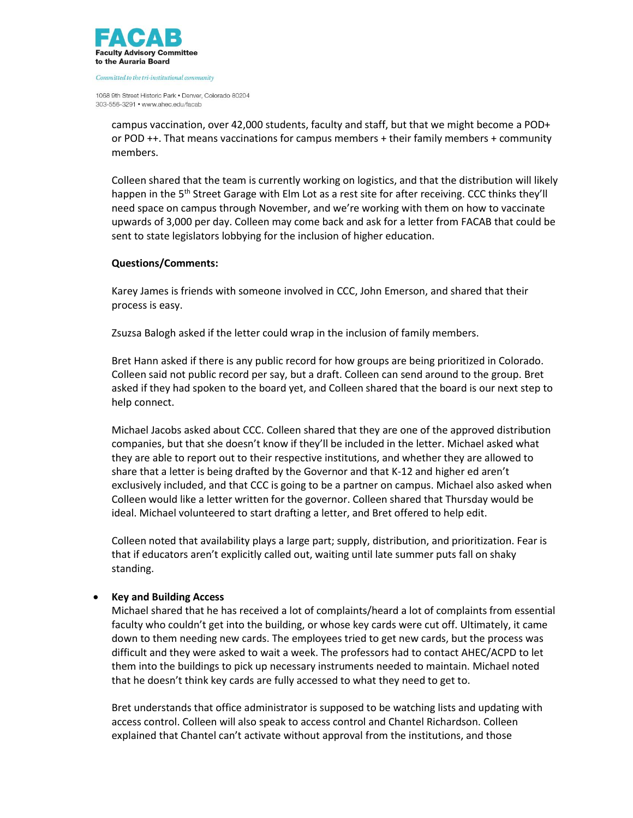

Committed to the tri-institutional community

1068 9th Street Historic Park . Denver, Colorado 80204 303-556-3291 • www.ahec.edu/facab

campus vaccination, over 42,000 students, faculty and staff, but that we might become a POD+ or POD ++. That means vaccinations for campus members + their family members + community members.

Colleen shared that the team is currently working on logistics, and that the distribution will likely happen in the 5<sup>th</sup> Street Garage with Elm Lot as a rest site for after receiving. CCC thinks they'll need space on campus through November, and we're working with them on how to vaccinate upwards of 3,000 per day. Colleen may come back and ask for a letter from FACAB that could be sent to state legislators lobbying for the inclusion of higher education.

## **Questions/Comments:**

Karey James is friends with someone involved in CCC, John Emerson, and shared that their process is easy.

Zsuzsa Balogh asked if the letter could wrap in the inclusion of family members.

Bret Hann asked if there is any public record for how groups are being prioritized in Colorado. Colleen said not public record per say, but a draft. Colleen can send around to the group. Bret asked if they had spoken to the board yet, and Colleen shared that the board is our next step to help connect.

Michael Jacobs asked about CCC. Colleen shared that they are one of the approved distribution companies, but that she doesn't know if they'll be included in the letter. Michael asked what they are able to report out to their respective institutions, and whether they are allowed to share that a letter is being drafted by the Governor and that K-12 and higher ed aren't exclusively included, and that CCC is going to be a partner on campus. Michael also asked when Colleen would like a letter written for the governor. Colleen shared that Thursday would be ideal. Michael volunteered to start drafting a letter, and Bret offered to help edit.

Colleen noted that availability plays a large part; supply, distribution, and prioritization. Fear is that if educators aren't explicitly called out, waiting until late summer puts fall on shaky standing.

# **Key and Building Access**

Michael shared that he has received a lot of complaints/heard a lot of complaints from essential faculty who couldn't get into the building, or whose key cards were cut off. Ultimately, it came down to them needing new cards. The employees tried to get new cards, but the process was difficult and they were asked to wait a week. The professors had to contact AHEC/ACPD to let them into the buildings to pick up necessary instruments needed to maintain. Michael noted that he doesn't think key cards are fully accessed to what they need to get to.

Bret understands that office administrator is supposed to be watching lists and updating with access control. Colleen will also speak to access control and Chantel Richardson. Colleen explained that Chantel can't activate without approval from the institutions, and those